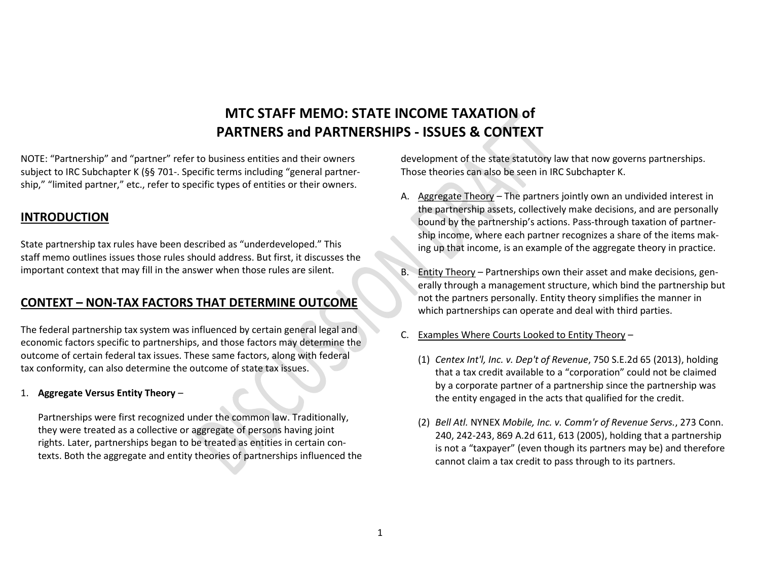# **MTC STAFF MEMO: STATE INCOME TAXATION of PARTNERS and PARTNERSHIPS - ISSUES & CONTEXT**

NOTE: "Partnership" and "partner" refer to business entities and their owners subject to IRC Subchapter K (§§ 701-. Specific terms including "general partnership," "limited partner," etc., refer to specific types of entities or their owners.

# **INTRODUCTION**

State partnership tax rules have been described as "underdeveloped." This staff memo outlines issues those rules should address. But first, it discusses the important context that may fill in the answer when those rules are silent.

# **CONTEXT – NON-TAX FACTORS THAT DETERMINE OUTCOME**

The federal partnership tax system was influenced by certain general legal and economic factors specific to partnerships, and those factors may determine the outcome of certain federal tax issues. These same factors, along with federal tax conformity, can also determine the outcome of state tax issues.

### 1. **Aggregate Versus Entity Theory** –

Partnerships were first recognized under the common law. Traditionally, they were treated as a collective or aggregate of persons having joint rights. Later, partnerships began to be treated as entities in certain contexts. Both the aggregate and entity theories of partnerships influenced the development of the state statutory law that now governs partnerships. Those theories can also be seen in IRC Subchapter K.

- A. Aggregate Theory The partners jointly own an undivided interest in the partnership assets, collectively make decisions, and are personally bound by the partnership's actions. Pass-through taxation of partnership income, where each partner recognizes a share of the items making up that income, is an example of the aggregate theory in practice.
- B. Entity Theory Partnerships own their asset and make decisions, generally through a management structure, which bind the partnership but not the partners personally. Entity theory simplifies the manner in which partnerships can operate and deal with third parties.
- C. Examples Where Courts Looked to Entity Theory
	- (1) *Centex Int'l, Inc. v. Dep't of Revenue*, 750 S.E.2d 65 (2013), holding that a tax credit available to a "corporation" could not be claimed by a corporate partner of a partnership since the partnership was the entity engaged in the acts that qualified for the credit.
	- (2) *Bell Atl.* NYNEX *Mobile, Inc. v. Comm'r of Revenue Servs.*, 273 Conn. 240, 242-243, 869 A.2d 611, 613 (2005), holding that a partnership is not a "taxpayer" (even though its partners may be) and therefore cannot claim a tax credit to pass through to its partners.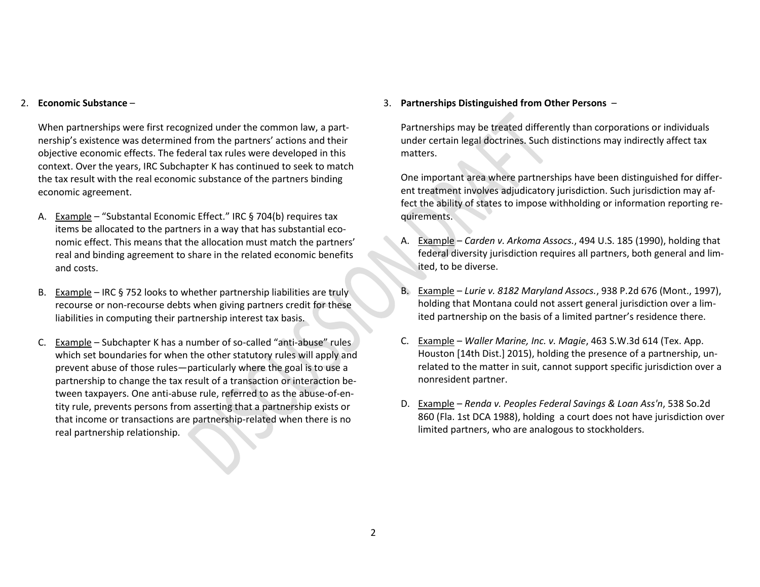#### 2. **Economic Substance** –

When partnerships were first recognized under the common law, a partnership's existence was determined from the partners' actions and their objective economic effects. The federal tax rules were developed in this context. Over the years, IRC Subchapter K has continued to seek to match the tax result with the real economic substance of the partners binding economic agreement.

- A. Example "Substantal Economic Effect." IRC § 704(b) requires tax items be allocated to the partners in a way that has substantial economic effect. This means that the allocation must match the partners' real and binding agreement to share in the related economic benefits and costs.
- B. Example IRC § 752 looks to whether partnership liabilities are truly recourse or non-recourse debts when giving partners credit for these liabilities in computing their partnership interest tax basis.
- C. Example Subchapter K has a number of so-called "anti-abuse" rules which set boundaries for when the other statutory rules will apply and prevent abuse of those rules—particularly where the goal is to use a partnership to change the tax result of a transaction or interaction between taxpayers. One anti-abuse rule, referred to as the abuse-of-entity rule, prevents persons from asserting that a partnership exists or that income or transactions are partnership-related when there is no real partnership relationship.

### 3. **Partnerships Distinguished from Other Persons** –

Partnerships may be treated differently than corporations or individuals under certain legal doctrines. Such distinctions may indirectly affect tax matters.

One important area where partnerships have been distinguished for different treatment involves adjudicatory jurisdiction. Such jurisdiction may affect the ability of states to impose withholding or information reporting requirements.

- A. Example *Carden v. Arkoma Assocs.*, 494 U.S. 185 (1990), holding that federal diversity jurisdiction requires all partners, both general and limited, to be diverse.
- B. Example *Lurie v. 8182 Maryland Assocs.*, 938 P.2d 676 (Mont., 1997), holding that Montana could not assert general jurisdiction over a limited partnership on the basis of a limited partner's residence there.
- C. Example *Waller Marine, Inc. v. Magie*, 463 S.W.3d 614 (Tex. App. Houston [14th Dist.] 2015), holding the presence of a partnership, unrelated to the matter in suit, cannot support specific jurisdiction over a nonresident partner.
- D. Example *Renda v. Peoples Federal Savings & Loan Ass'n*, 538 So.2d 860 (Fla. 1st DCA 1988), holding a court does not have jurisdiction over limited partners, who are analogous to stockholders.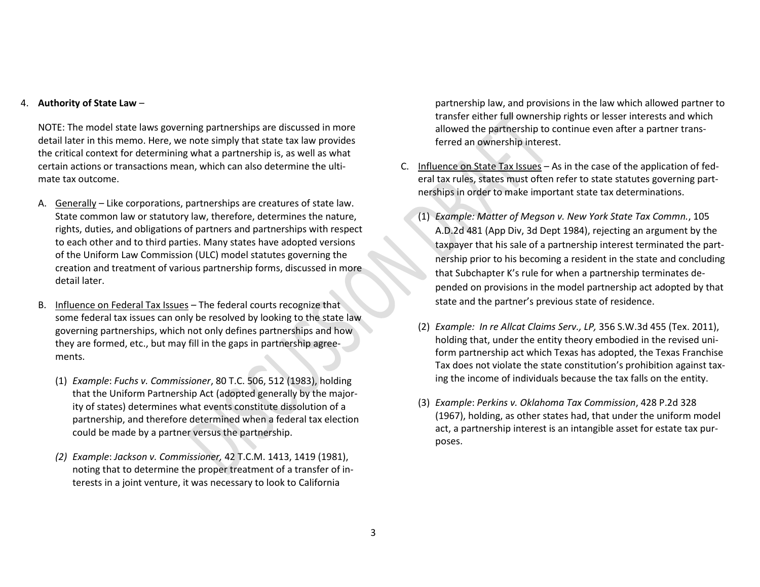#### 4. **Authority of State Law** –

NOTE: The model state laws governing partnerships are discussed in more detail later in this memo. Here, we note simply that state tax law provides the critical context for determining what a partnership is, as well as what certain actions or transactions mean, which can also determine the ultimate tax outcome.

- A. Generally Like corporations, partnerships are creatures of state law. State common law or statutory law, therefore, determines the nature, rights, duties, and obligations of partners and partnerships with respect to each other and to third parties. Many states have adopted versions of the Uniform Law Commission (ULC) model statutes governing the creation and treatment of various partnership forms, discussed in more detail later.
- B. Influence on Federal Tax Issues The federal courts recognize that some federal tax issues can only be resolved by looking to the state law governing partnerships, which not only defines partnerships and how they are formed, etc., but may fill in the gaps in partnership agreements.
	- (1) *Example*: *Fuchs v. Commissioner*, 80 T.C. 506, 512 (1983), holding that the Uniform Partnership Act (adopted generally by the majority of states) determines what events constitute dissolution of a partnership, and therefore determined when a federal tax election could be made by a partner versus the partnership.
	- *(2) Example*: *Jackson v. Commissioner,* 42 T.C.M. 1413, 1419 (1981), noting that to determine the proper treatment of a transfer of interests in a joint venture, it was necessary to look to California

partnership law, and provisions in the law which allowed partner to transfer either full ownership rights or lesser interests and which allowed the partnership to continue even after a partner transferred an ownership interest.

- C. Influence on State Tax Issues As in the case of the application of federal tax rules, states must often refer to state statutes governing partnerships in order to make important state tax determinations.
	- (1) *Example: Matter of Megson v. New York State Tax Commn.*, 105 A.D.2d 481 (App Div, 3d Dept 1984), rejecting an argument by the taxpayer that his sale of a partnership interest terminated the partnership prior to his becoming a resident in the state and concluding that Subchapter K's rule for when a partnership terminates depended on provisions in the model partnership act adopted by that state and the partner's previous state of residence.
	- (2) *Example: In re Allcat Claims Serv., LP,* 356 S.W.3d 455 (Tex. 2011), holding that, under the entity theory embodied in the revised uniform partnership act which Texas has adopted, the Texas Franchise Tax does not violate the state constitution's prohibition against taxing the income of individuals because the tax falls on the entity.
	- (3) *Example*: *Perkins v. Oklahoma Tax Commission*, 428 P.2d 328 (1967), holding, as other states had, that under the uniform model act, a partnership interest is an intangible asset for estate tax purposes.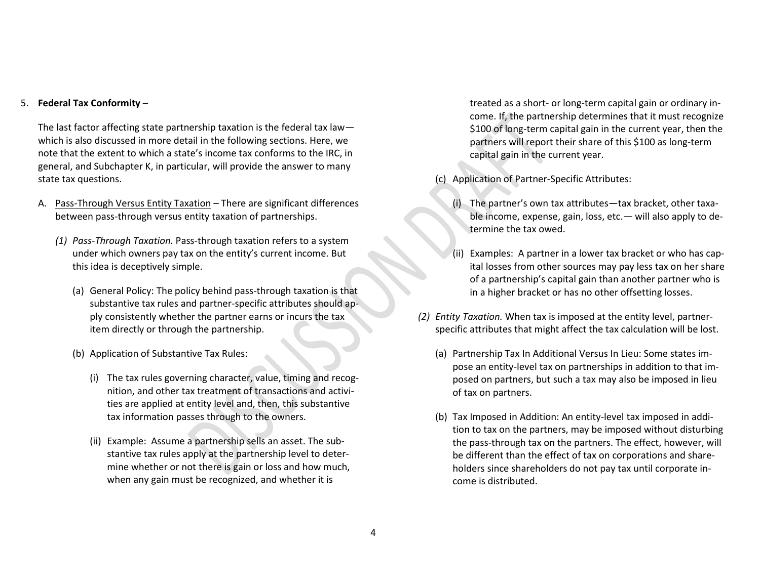#### 5. **Federal Tax Conformity** –

The last factor affecting state partnership taxation is the federal tax law which is also discussed in more detail in the following sections. Here, we note that the extent to which a state's income tax conforms to the IRC, in general, and Subchapter K, in particular, will provide the answer to many state tax questions.

- A. Pass-Through Versus Entity Taxation There are significant differences between pass-through versus entity taxation of partnerships.
	- *(1) Pass-Through Taxation.* Pass-through taxation refers to a system under which owners pay tax on the entity's current income. But this idea is deceptively simple.
		- (a) General Policy: The policy behind pass-through taxation is that substantive tax rules and partner-specific attributes should apply consistently whether the partner earns or incurs the tax item directly or through the partnership.
		- (b) Application of Substantive Tax Rules:
			- (i) The tax rules governing character, value, timing and recognition, and other tax treatment of transactions and activities are applied at entity level and, then, this substantive tax information passes through to the owners.
			- (ii) Example: Assume a partnership sells an asset. The substantive tax rules apply at the partnership level to determine whether or not there is gain or loss and how much, when any gain must be recognized, and whether it is

treated as a short- or long-term capital gain or ordinary income. If, the partnership determines that it must recognize \$100 of long-term capital gain in the current year, then the partners will report their share of this \$100 as long-term capital gain in the current year.

- (c) Application of Partner-Specific Attributes:
	- (i) The partner's own tax attributes—tax bracket, other taxable income, expense, gain, loss, etc.— will also apply to determine the tax owed.
	- (ii) Examples: A partner in a lower tax bracket or who has capital losses from other sources may pay less tax on her share of a partnership's capital gain than another partner who is in a higher bracket or has no other offsetting losses.
- *(2) Entity Taxation.* When tax is imposed at the entity level, partnerspecific attributes that might affect the tax calculation will be lost.
	- (a) Partnership Tax In Additional Versus In Lieu: Some states impose an entity-level tax on partnerships in addition to that imposed on partners, but such a tax may also be imposed in lieu of tax on partners.
	- (b) Tax Imposed in Addition: An entity-level tax imposed in addition to tax on the partners, may be imposed without disturbing the pass-through tax on the partners. The effect, however, will be different than the effect of tax on corporations and shareholders since shareholders do not pay tax until corporate income is distributed.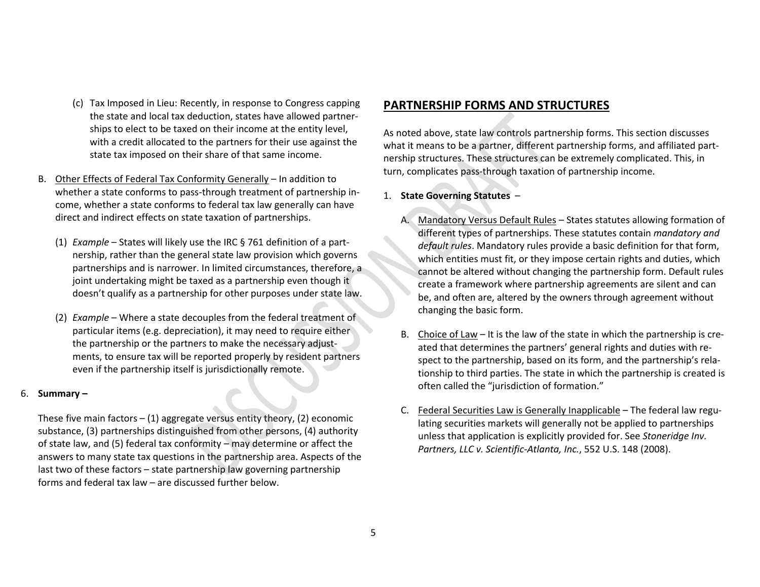- (c) Tax Imposed in Lieu: Recently, in response to Congress capping the state and local tax deduction, states have allowed partnerships to elect to be taxed on their income at the entity level, with a credit allocated to the partners for their use against the state tax imposed on their share of that same income.
- B. Other Effects of Federal Tax Conformity Generally In addition to whether a state conforms to pass-through treatment of partnership income, whether a state conforms to federal tax law generally can have direct and indirect effects on state taxation of partnerships.
	- (1) *Example* States will likely use the IRC § 761 definition of a partnership, rather than the general state law provision which governs partnerships and is narrower. In limited circumstances, therefore, a joint undertaking might be taxed as a partnership even though it doesn't qualify as a partnership for other purposes under state law.
	- (2) *Example* Where a state decouples from the federal treatment of particular items (e.g. depreciation), it may need to require either the partnership or the partners to make the necessary adjustments, to ensure tax will be reported properly by resident partners even if the partnership itself is jurisdictionally remote.

### 6. **Summary –**

These five main factors  $- (1)$  aggregate versus entity theory, (2) economic substance, (3) partnerships distinguished from other persons, (4) authority of state law, and (5) federal tax conformity – may determine or affect the answers to many state tax questions in the partnership area. Aspects of the last two of these factors – state partnership law governing partnership forms and federal tax law – are discussed further below.

# **PARTNERSHIP FORMS AND STRUCTURES**

As noted above, state law controls partnership forms. This section discusses what it means to be a partner, different partnership forms, and affiliated partnership structures. These structures can be extremely complicated. This, in turn, complicates pass-through taxation of partnership income.

## 1. **State Governing Statutes** –

- A. Mandatory Versus Default Rules States statutes allowing formation of different types of partnerships. These statutes contain *mandatory and default rules*. Mandatory rules provide a basic definition for that form, which entities must fit, or they impose certain rights and duties, which cannot be altered without changing the partnership form. Default rules create a framework where partnership agreements are silent and can be, and often are, altered by the owners through agreement without changing the basic form.
- B. Choice of Law It is the law of the state in which the partnership is created that determines the partners' general rights and duties with respect to the partnership, based on its form, and the partnership's relationship to third parties. The state in which the partnership is created is often called the "jurisdiction of formation."
- C. Federal Securities Law is Generally Inapplicable The federal law regulating securities markets will generally not be applied to partnerships unless that application is explicitly provided for. See *Stoneridge Inv. Partners, LLC v. Scientific-Atlanta, Inc.*, 552 U.S. 148 (2008).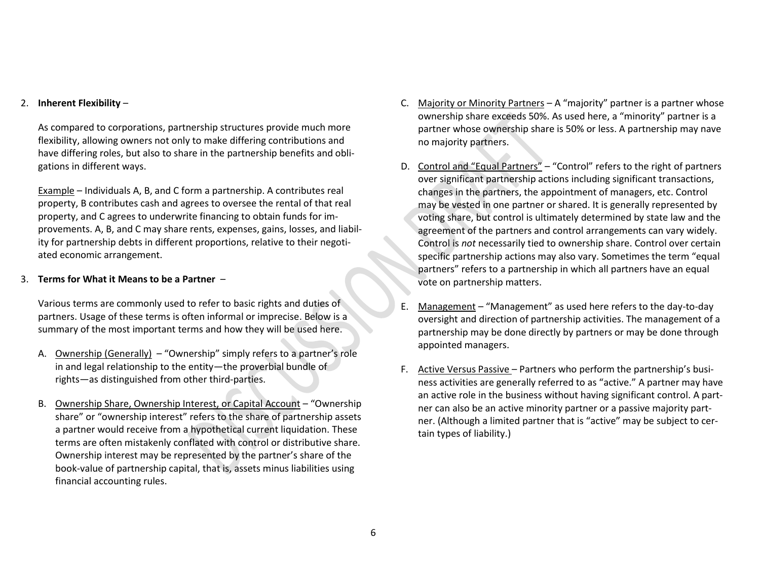#### 2. **Inherent Flexibility** –

As compared to corporations, partnership structures provide much more flexibility, allowing owners not only to make differing contributions and have differing roles, but also to share in the partnership benefits and obligations in different ways.

Example – Individuals A, B, and C form a partnership. A contributes real property, B contributes cash and agrees to oversee the rental of that real property, and C agrees to underwrite financing to obtain funds for improvements. A, B, and C may share rents, expenses, gains, losses, and liability for partnership debts in different proportions, relative to their negotiated economic arrangement.

#### 3. **Terms for What it Means to be a Partner** –

Various terms are commonly used to refer to basic rights and duties of partners. Usage of these terms is often informal or imprecise. Below is a summary of the most important terms and how they will be used here.

- A. Ownership (Generally) "Ownership" simply refers to a partner's role in and legal relationship to the entity—the proverbial bundle of rights—as distinguished from other third-parties.
- B. Ownership Share, Ownership Interest, or Capital Account "Ownership share" or "ownership interest" refers to the share of partnership assets a partner would receive from a hypothetical current liquidation. These terms are often mistakenly conflated with control or distributive share. Ownership interest may be represented by the partner's share of the book-value of partnership capital, that is, assets minus liabilities using financial accounting rules.
- C. Majority or Minority Partners A "majority" partner is a partner whose ownership share exceeds 50%. As used here, a "minority" partner is a partner whose ownership share is 50% or less. A partnership may nave no majority partners.
- D. Control and "Equal Partners" "Control" refers to the right of partners over significant partnership actions including significant transactions, changes in the partners, the appointment of managers, etc. Control may be vested in one partner or shared. It is generally represented by voting share, but control is ultimately determined by state law and the agreement of the partners and control arrangements can vary widely. Control is *not* necessarily tied to ownership share. Control over certain specific partnership actions may also vary. Sometimes the term "equal partners" refers to a partnership in which all partners have an equal vote on partnership matters.
- E. Management "Management" as used here refers to the day-to-day oversight and direction of partnership activities. The management of a partnership may be done directly by partners or may be done through appointed managers.
- F. Active Versus Passive Partners who perform the partnership's business activities are generally referred to as "active." A partner may have an active role in the business without having significant control. A partner can also be an active minority partner or a passive majority partner. (Although a limited partner that is "active" may be subject to certain types of liability.)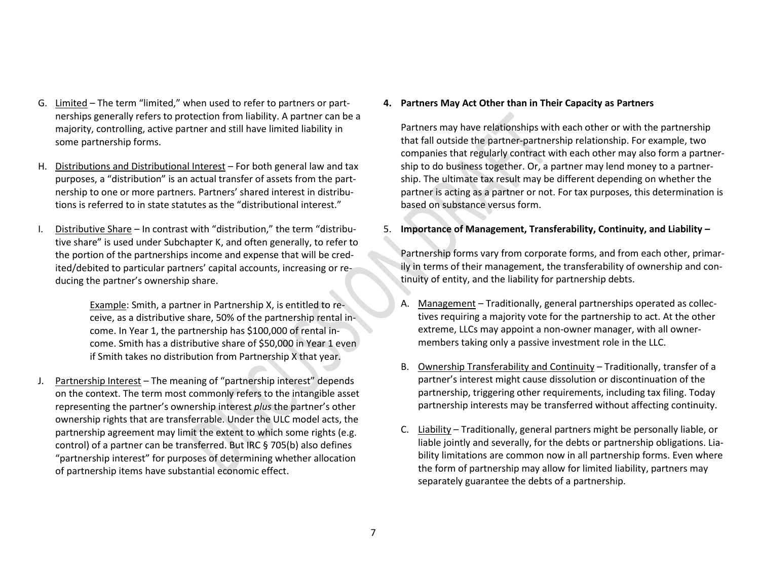- G. Limited The term "limited," when used to refer to partners or partnerships generally refers to protection from liability. A partner can be a majority, controlling, active partner and still have limited liability in some partnership forms.
- H. Distributions and Distributional Interest For both general law and tax purposes, a "distribution" is an actual transfer of assets from the partnership to one or more partners. Partners' shared interest in distributions is referred to in state statutes as the "distributional interest."
- I. Distributive Share In contrast with "distribution," the term "distributive share" is used under Subchapter K, and often generally, to refer to the portion of the partnerships income and expense that will be credited/debited to particular partners' capital accounts, increasing or reducing the partner's ownership share.

Example: Smith, a partner in Partnership X, is entitled to receive, as a distributive share, 50% of the partnership rental income. In Year 1, the partnership has \$100,000 of rental income. Smith has a distributive share of \$50,000 in Year 1 even if Smith takes no distribution from Partnership X that year.

J. Partnership Interest - The meaning of "partnership interest" depends on the context. The term most commonly refers to the intangible asset representing the partner's ownership interest *plus* the partner's other ownership rights that are transferrable. Under the ULC model acts, the partnership agreement may limit the extent to which some rights (e.g. control) of a partner can be transferred. But IRC § 705(b) also defines "partnership interest" for purposes of determining whether allocation of partnership items have substantial economic effect.

#### **4. Partners May Act Other than in Their Capacity as Partners**

Partners may have relationships with each other or with the partnership that fall outside the partner-partnership relationship. For example, two companies that regularly contract with each other may also form a partnership to do business together. Or, a partner may lend money to a partnership. The ultimate tax result may be different depending on whether the partner is acting as a partner or not. For tax purposes, this determination is based on substance versus form.

## 5. **Importance of Management, Transferability, Continuity, and Liability –**

Partnership forms vary from corporate forms, and from each other, primarily in terms of their management, the transferability of ownership and continuity of entity, and the liability for partnership debts.

- A. Management Traditionally, general partnerships operated as collectives requiring a majority vote for the partnership to act. At the other extreme, LLCs may appoint a non-owner manager, with all ownermembers taking only a passive investment role in the LLC.
- B. Ownership Transferability and Continuity Traditionally, transfer of a partner's interest might cause dissolution or discontinuation of the partnership, triggering other requirements, including tax filing. Today partnership interests may be transferred without affecting continuity.
- C. Liability Traditionally, general partners might be personally liable, or liable jointly and severally, for the debts or partnership obligations. Liability limitations are common now in all partnership forms. Even where the form of partnership may allow for limited liability, partners may separately guarantee the debts of a partnership.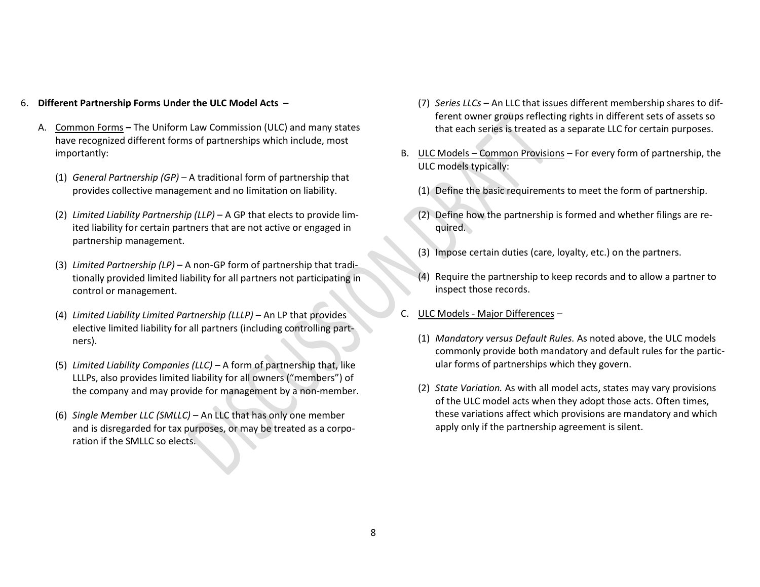#### 6. **Different Partnership Forms Under the ULC Model Acts –**

- A. Common Forms **–** The Uniform Law Commission (ULC) and many states have recognized different forms of partnerships which include, most importantly:
	- (1) *General Partnership (GP)* A traditional form of partnership that provides collective management and no limitation on liability.
	- (2) *Limited Liability Partnership (LLP)* A GP that elects to provide limited liability for certain partners that are not active or engaged in partnership management.
	- (3) *Limited Partnership (LP)* A non-GP form of partnership that traditionally provided limited liability for all partners not participating in control or management.
	- (4) *Limited Liability Limited Partnership (LLLP)* An LP that provides elective limited liability for all partners (including controlling partners).
	- (5) *Limited Liability Companies (LLC)* A form of partnership that, like LLLPs, also provides limited liability for all owners ("members") of the company and may provide for management by a non-member.
	- (6) *Single Member LLC (SMLLC)* An LLC that has only one member and is disregarded for tax purposes, or may be treated as a corporation if the SMLLC so elects.
- (7) *Series LLCs* An LLC that issues different membership shares to different owner groups reflecting rights in different sets of assets so that each series is treated as a separate LLC for certain purposes.
- B. ULC Models Common Provisions *–* For every form of partnership, the ULC models typically:
	- (1) Define the basic requirements to meet the form of partnership.
	- (2) Define how the partnership is formed and whether filings are required.
	- (3) Impose certain duties (care, loyalty, etc.) on the partners.
	- Require the partnership to keep records and to allow a partner to inspect those records.
- C. ULC Models Major Differences *–*
	- (1) *Mandatory versus Default Rules.* As noted above, the ULC models commonly provide both mandatory and default rules for the particular forms of partnerships which they govern.
	- (2) *State Variation.* As with all model acts, states may vary provisions of the ULC model acts when they adopt those acts. Often times, these variations affect which provisions are mandatory and which apply only if the partnership agreement is silent.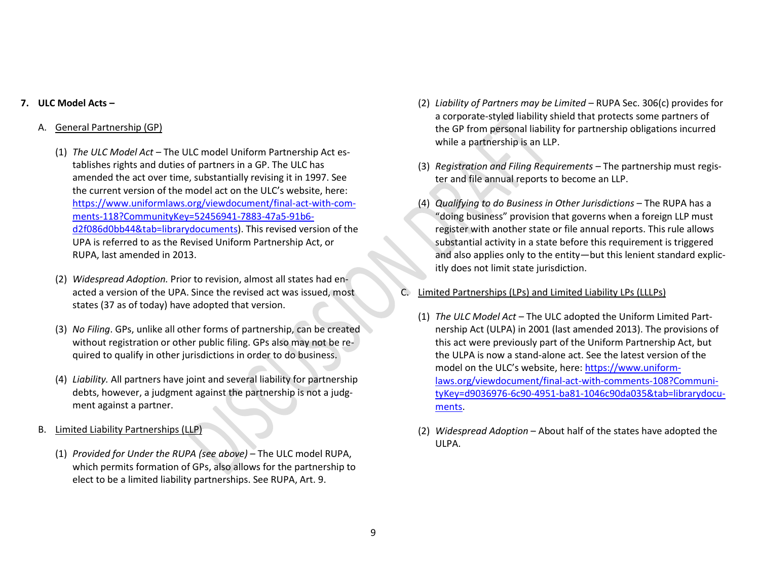### **7. ULC Model Acts –**

## A. General Partnership (GP)

- (1) *The ULC Model Act* The ULC model Uniform Partnership Act establishes rights and duties of partners in a GP. The ULC has amended the act over time, substantially revising it in 1997. See the current version of the model act on the ULC's website, here: [https://www.uniformlaws.org/viewdocument/final-act-with-com](https://www.uniformlaws.org/viewdocument/final-act-with-comments-118?CommunityKey=52456941-7883-47a5-91b6-d2f086d0bb44&tab=librarydocuments)[ments-118?CommunityKey=52456941-7883-47a5-91b6](https://www.uniformlaws.org/viewdocument/final-act-with-comments-118?CommunityKey=52456941-7883-47a5-91b6-d2f086d0bb44&tab=librarydocuments) [d2f086d0bb44&tab=librarydocuments\)](https://www.uniformlaws.org/viewdocument/final-act-with-comments-118?CommunityKey=52456941-7883-47a5-91b6-d2f086d0bb44&tab=librarydocuments). This revised version of the UPA is referred to as the Revised Uniform Partnership Act, or RUPA, last amended in 2013.
- (2) *Widespread Adoption.* Prior to revision, almost all states had enacted a version of the UPA. Since the revised act was issued, most states (37 as of today) have adopted that version.
- (3) *No Filing*. GPs, unlike all other forms of partnership, can be created without registration or other public filing. GPs also may not be required to qualify in other jurisdictions in order to do business.
- (4) *Liability.* All partners have joint and several liability for partnership debts, however, a judgment against the partnership is not a judgment against a partner.
- B. Limited Liability Partnerships (LLP)
	- (1) *Provided for Under the RUPA (see above)* The ULC model RUPA, which permits formation of GPs, also allows for the partnership to elect to be a limited liability partnerships. See RUPA, Art. 9.
- (2) *Liability of Partners may be Limited* RUPA Sec. 306(c) provides for a corporate-styled liability shield that protects some partners of the GP from personal liability for partnership obligations incurred while a partnership is an LLP.
- (3) *Registration and Filing Requirements –* The partnership must register and file annual reports to become an LLP.
- (4) *Qualifying to do Business in Other Jurisdictions* The RUPA has a "doing business" provision that governs when a foreign LLP must register with another state or file annual reports. This rule allows substantial activity in a state before this requirement is triggered and also applies only to the entity—but this lenient standard explicitly does not limit state jurisdiction.
- Limited Partnerships (LPs) and Limited Liability LPs (LLLPs)
	- (1) *The ULC Model Act* The ULC adopted the Uniform Limited Partnership Act (ULPA) in 2001 (last amended 2013). The provisions of this act were previously part of the Uniform Partnership Act, but the ULPA is now a stand-alone act. See the latest version of the model on the ULC's website, here[: https://www.uniform](https://www.uniformlaws.org/viewdocument/final-act-with-comments-108?CommunityKey=d9036976-6c90-4951-ba81-1046c90da035&tab=librarydocuments)[laws.org/viewdocument/final-act-with-comments-108?Communi](https://www.uniformlaws.org/viewdocument/final-act-with-comments-108?CommunityKey=d9036976-6c90-4951-ba81-1046c90da035&tab=librarydocuments)[tyKey=d9036976-6c90-4951-ba81-1046c90da035&tab=librarydocu](https://www.uniformlaws.org/viewdocument/final-act-with-comments-108?CommunityKey=d9036976-6c90-4951-ba81-1046c90da035&tab=librarydocuments)[ments.](https://www.uniformlaws.org/viewdocument/final-act-with-comments-108?CommunityKey=d9036976-6c90-4951-ba81-1046c90da035&tab=librarydocuments)
	- (2) *Widespread Adoption* About half of the states have adopted the ULPA.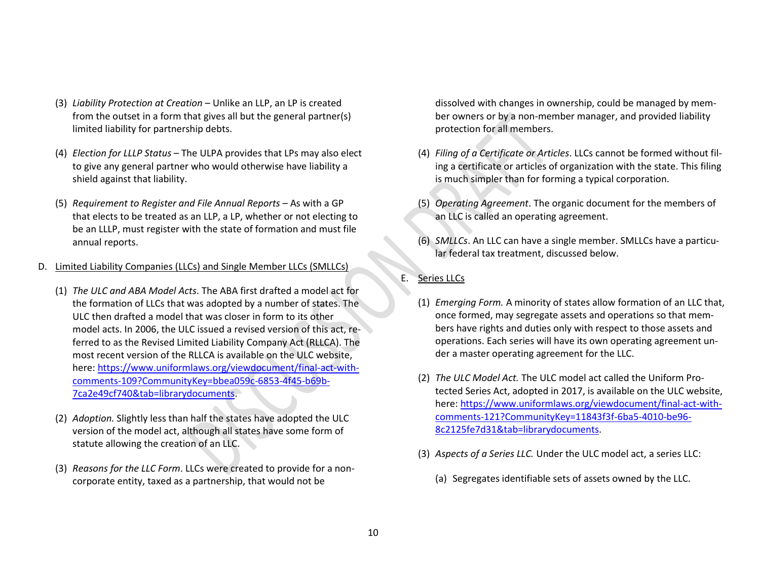- (3) *Liability Protection at Creation*  Unlike an LLP, an LP is created from the outset in a form that gives all but the general partner(s) limited liability for partnership debts.
- (4) *Election for LLLP Status* The ULPA provides that LPs may also elect to give any general partner who would otherwise have liability a shield against that liability.
- (5) *Requirement to Register and File Annual Reports* As with a GP that elects to be treated as an LLP, a LP, whether or not electing to be an LLLP, must register with the state of formation and must file annual reports.
- D. Limited Liability Companies (LLCs) and Single Member LLCs (SMLLCs)
	- (1) *The ULC and ABA Model Acts*. The ABA first drafted a model act for the formation of LLCs that was adopted by a number of states. The ULC then drafted a model that was closer in form to its other model acts. In 2006, the ULC issued a revised version of this act, referred to as the Revised Limited Liability Company Act (RLLCA). The most recent version of the RLLCA is available on the ULC website, here[: https://www.uniformlaws.org/viewdocument/final-act-with](https://www.uniformlaws.org/viewdocument/final-act-with-comments-109?CommunityKey=bbea059c-6853-4f45-b69b-7ca2e49cf740&tab=librarydocuments)[comments-109?CommunityKey=bbea059c-6853-4f45-b69b-](https://www.uniformlaws.org/viewdocument/final-act-with-comments-109?CommunityKey=bbea059c-6853-4f45-b69b-7ca2e49cf740&tab=librarydocuments)[7ca2e49cf740&tab=librarydocuments.](https://www.uniformlaws.org/viewdocument/final-act-with-comments-109?CommunityKey=bbea059c-6853-4f45-b69b-7ca2e49cf740&tab=librarydocuments)
	- (2) *Adoption.* Slightly less than half the states have adopted the ULC version of the model act, although all states have some form of statute allowing the creation of an LLC.
	- (3) *Reasons for the LLC Form*. LLCs were created to provide for a noncorporate entity, taxed as a partnership, that would not be

dissolved with changes in ownership, could be managed by member owners or by a non-member manager, and provided liability protection for all members.

- (4) *Filing of a Certificate or Articles*. LLCs cannot be formed without filing a certificate or articles of organization with the state. This filing is much simpler than for forming a typical corporation.
- (5) *Operating Agreement*. The organic document for the members of an LLC is called an operating agreement.
- (6) *SMLLCs*. An LLC can have a single member. SMLLCs have a particular federal tax treatment, discussed below.
- E. Series LLCs
	- (1) *Emerging Form.* A minority of states allow formation of an LLC that, once formed, may segregate assets and operations so that members have rights and duties only with respect to those assets and operations. Each series will have its own operating agreement under a master operating agreement for the LLC.
	- (2) *The ULC Model Act.* The ULC model act called the Uniform Protected Series Act, adopted in 2017, is available on the ULC website, here[: https://www.uniformlaws.org/viewdocument/final-act-with](https://www.uniformlaws.org/viewdocument/final-act-with-comments-121?CommunityKey=11843f3f-6ba5-4010-be96-8c2125fe7d31&tab=librarydocuments)[comments-121?CommunityKey=11843f3f-6ba5-4010-be96-](https://www.uniformlaws.org/viewdocument/final-act-with-comments-121?CommunityKey=11843f3f-6ba5-4010-be96-8c2125fe7d31&tab=librarydocuments) [8c2125fe7d31&tab=librarydocuments.](https://www.uniformlaws.org/viewdocument/final-act-with-comments-121?CommunityKey=11843f3f-6ba5-4010-be96-8c2125fe7d31&tab=librarydocuments)
	- (3) *Aspects of a Series LLC.* Under the ULC model act, a series LLC:
		- (a) Segregates identifiable sets of assets owned by the LLC.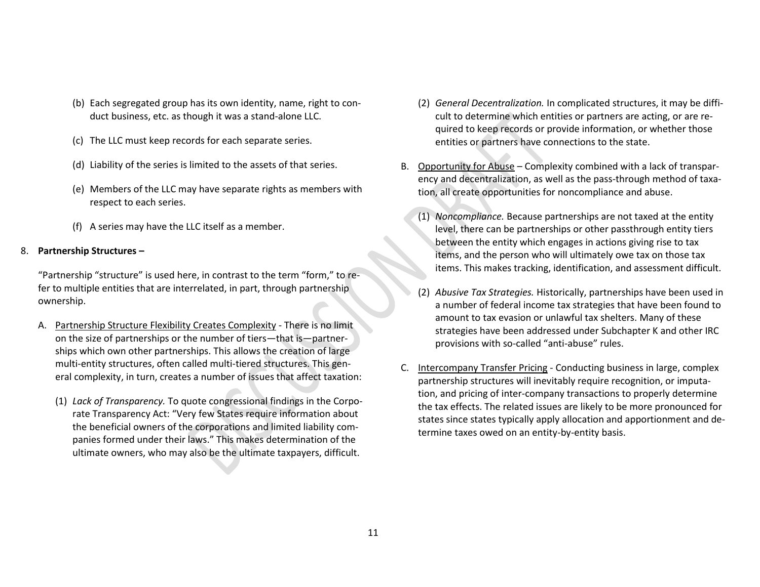- (b) Each segregated group has its own identity, name, right to conduct business, etc. as though it was a stand-alone LLC.
- (c) The LLC must keep records for each separate series.
- (d) Liability of the series is limited to the assets of that series.
- (e) Members of the LLC may have separate rights as members with respect to each series.
- (f) A series may have the LLC itself as a member.

#### 8. **Partnership Structures –**

"Partnership "structure" is used here, in contrast to the term "form," to refer to multiple entities that are interrelated, in part, through partnership ownership.

- A. Partnership Structure Flexibility Creates Complexity There is no limit on the size of partnerships or the number of tiers—that is—partnerships which own other partnerships. This allows the creation of large multi-entity structures, often called multi-tiered structures. This general complexity, in turn, creates a number of issues that affect taxation:
	- (1) *Lack of Transparency.* To quote congressional findings in the Corporate Transparency Act: "Very few States require information about the beneficial owners of the corporations and limited liability companies formed under their laws." This makes determination of the ultimate owners, who may also be the ultimate taxpayers, difficult.
- (2) *General Decentralization.* In complicated structures, it may be difficult to determine which entities or partners are acting, or are required to keep records or provide information, or whether those entities or partners have connections to the state.
- B. Opportunity for Abuse Complexity combined with a lack of transparency and decentralization, as well as the pass-through method of taxation, all create opportunities for noncompliance and abuse.
	- (1) *Noncompliance.* Because partnerships are not taxed at the entity level, there can be partnerships or other passthrough entity tiers between the entity which engages in actions giving rise to tax items, and the person who will ultimately owe tax on those tax items. This makes tracking, identification, and assessment difficult.
	- (2) *Abusive Tax Strategies.* Historically, partnerships have been used in a number of federal income tax strategies that have been found to amount to tax evasion or unlawful tax shelters. Many of these strategies have been addressed under Subchapter K and other IRC provisions with so-called "anti-abuse" rules.
- C. Intercompany Transfer Pricing Conducting business in large, complex partnership structures will inevitably require recognition, or imputation, and pricing of inter-company transactions to properly determine the tax effects. The related issues are likely to be more pronounced for states since states typically apply allocation and apportionment and determine taxes owed on an entity-by-entity basis.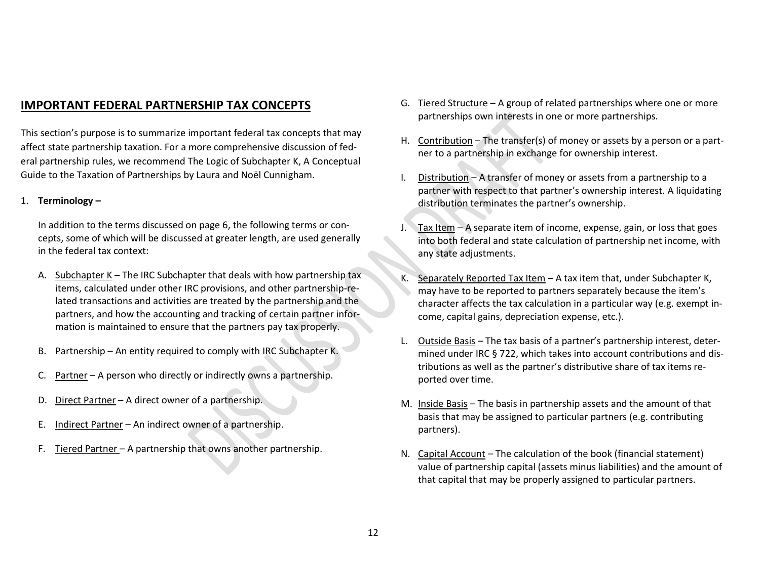# **IMPORTANT FEDERAL PARTNERSHIP TAX CONCEPTS**

This section's purpose is to summarize important federal tax concepts that may affect state partnership taxation. For a more comprehensive discussion of federal partnership rules, we recommend The Logic of Subchapter K, A Conceptual Guide to the Taxation of Partnerships by Laura and Noël Cunnigham.

### 1. **Terminology –**

In addition to the terms discussed on page 6, the following terms or concepts, some of which will be discussed at greater length, are used generally in the federal tax context:

- A. Subchapter K The IRC Subchapter that deals with how partnership tax items, calculated under other IRC provisions, and other partnership-related transactions and activities are treated by the partnership and the partners, and how the accounting and tracking of certain partner information is maintained to ensure that the partners pay tax properly.
- B. Partnership An entity required to comply with IRC Subchapter K.
- C. Partner A person who directly or indirectly owns a partnership.
- D. Direct Partner A direct owner of a partnership.
- E. Indirect Partner An indirect owner of a partnership.
- F. Tiered Partner A partnership that owns another partnership.
- G. Tiered Structure A group of related partnerships where one or more partnerships own interests in one or more partnerships.
- H. Contribution The transfer(s) of money or assets by a person or a partner to a partnership in exchange for ownership interest.
- I. Distribution A transfer of money or assets from a partnership to a partner with respect to that partner's ownership interest. A liquidating distribution terminates the partner's ownership.
- J. Tax Item A separate item of income, expense, gain, or loss that goes into both federal and state calculation of partnership net income, with any state adjustments.
- K. Separately Reported Tax Item A tax item that, under Subchapter K, may have to be reported to partners separately because the item's character affects the tax calculation in a particular way (e.g. exempt income, capital gains, depreciation expense, etc.).
- L. Outside Basis The tax basis of a partner's partnership interest, determined under IRC § 722, which takes into account contributions and distributions as well as the partner's distributive share of tax items reported over time.
- M. Inside Basis The basis in partnership assets and the amount of that basis that may be assigned to particular partners (e.g. contributing partners).
- N. Capital Account *–* The calculation of the book (financial statement) value of partnership capital (assets minus liabilities) and the amount of that capital that may be properly assigned to particular partners.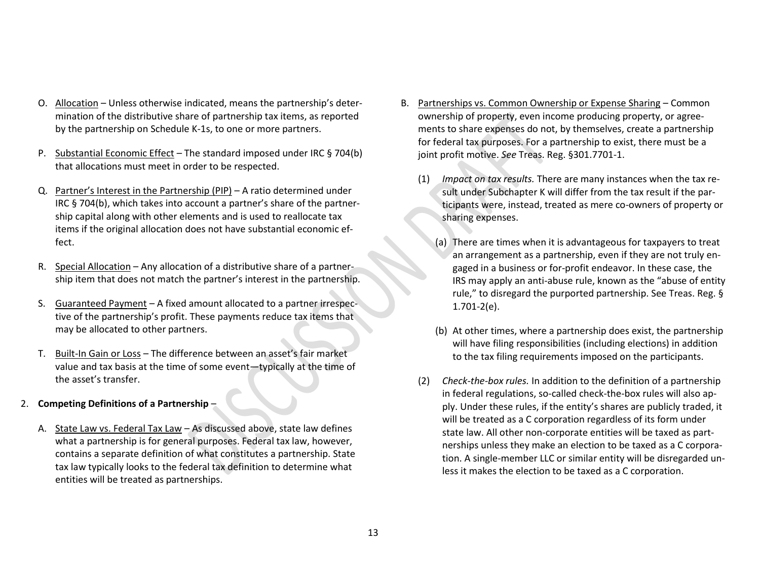- O. Allocation Unless otherwise indicated, means the partnership's determination of the distributive share of partnership tax items, as reported by the partnership on Schedule K-1s, to one or more partners.
- P. Substantial Economic Effect *–* The standard imposed under IRC § 704(b) that allocations must meet in order to be respected.
- Q. Partner's Interest in the Partnership (PIP) A ratio determined under IRC § 704(b), which takes into account a partner's share of the partnership capital along with other elements and is used to reallocate tax items if the original allocation does not have substantial economic effect.
- R. Special Allocation Any allocation of a distributive share of a partnership item that does not match the partner's interest in the partnership.
- S. Guaranteed Payment A fixed amount allocated to a partner irrespective of the partnership's profit. These payments reduce tax items that may be allocated to other partners.
- T. Built-In Gain or Loss The difference between an asset's fair market value and tax basis at the time of some event—typically at the time of the asset's transfer.
- 2. **Competing Definitions of a Partnership**
	- A. State Law vs. Federal Tax Law As discussed above, state law defines what a partnership is for general purposes. Federal tax law, however, contains a separate definition of what constitutes a partnership. State tax law typically looks to the federal tax definition to determine what entities will be treated as partnerships.
- B. Partnerships vs. Common Ownership or Expense Sharing Common ownership of property, even income producing property, or agreements to share expenses do not, by themselves, create a partnership for federal tax purposes. For a partnership to exist, there must be a joint profit motive. *See* Treas. Reg. §301.7701-1.
	- (1) *Impact on tax results.* There are many instances when the tax result under Subchapter K will differ from the tax result if the participants were, instead, treated as mere co-owners of property or sharing expenses.
		- (a) There are times when it is advantageous for taxpayers to treat an arrangement as a partnership, even if they are not truly engaged in a business or for-profit endeavor. In these case, the IRS may apply an anti-abuse rule, known as the "abuse of entity rule," to disregard the purported partnership. See Treas. Reg. § 1.701-2(e).
		- (b) At other times, where a partnership does exist, the partnership will have filing responsibilities (including elections) in addition to the tax filing requirements imposed on the participants.
	- (2) *Check-the-box rules.* In addition to the definition of a partnership in federal regulations, so-called check-the-box rules will also apply. Under these rules, if the entity's shares are publicly traded, it will be treated as a C corporation regardless of its form under state law. All other non-corporate entities will be taxed as partnerships unless they make an election to be taxed as a C corporation. A single-member LLC or similar entity will be disregarded unless it makes the election to be taxed as a C corporation.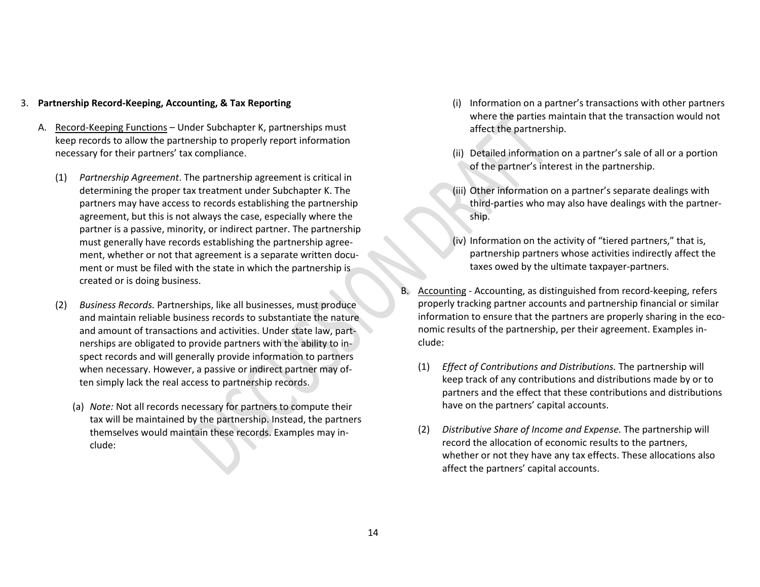#### 3. **Partnership Record-Keeping, Accounting, & Tax Reporting**

- A. Record-Keeping Functions Under Subchapter K, partnerships must keep records to allow the partnership to properly report information necessary for their partners' tax compliance.
	- (1) *Partnership Agreement*. The partnership agreement is critical in determining the proper tax treatment under Subchapter K. The partners may have access to records establishing the partnership agreement, but this is not always the case, especially where the partner is a passive, minority, or indirect partner. The partnership must generally have records establishing the partnership agreement, whether or not that agreement is a separate written document or must be filed with the state in which the partnership is created or is doing business.
	- (2) *Business Records.* Partnerships, like all businesses, must produce and maintain reliable business records to substantiate the nature and amount of transactions and activities. Under state law, partnerships are obligated to provide partners with the ability to inspect records and will generally provide information to partners when necessary. However, a passive or indirect partner may often simply lack the real access to partnership records.
		- (a) *Note:* Not all records necessary for partners to compute their tax will be maintained by the partnership. Instead, the partners themselves would maintain these records. Examples may include:
- (i) Information on a partner's transactions with other partners where the parties maintain that the transaction would not affect the partnership.
- (ii) Detailed information on a partner's sale of all or a portion of the partner's interest in the partnership.
- (iii) Other information on a partner's separate dealings with third-parties who may also have dealings with the partnership.
- (iv) Information on the activity of "tiered partners," that is, partnership partners whose activities indirectly affect the taxes owed by the ultimate taxpayer-partners.
- B. Accounting Accounting, as distinguished from record-keeping, refers properly tracking partner accounts and partnership financial or similar information to ensure that the partners are properly sharing in the economic results of the partnership, per their agreement. Examples include:
	- (1) *Effect of Contributions and Distributions.* The partnership will keep track of any contributions and distributions made by or to partners and the effect that these contributions and distributions have on the partners' capital accounts.
	- (2) *Distributive Share of Income and Expense.* The partnership will record the allocation of economic results to the partners, whether or not they have any tax effects. These allocations also affect the partners' capital accounts.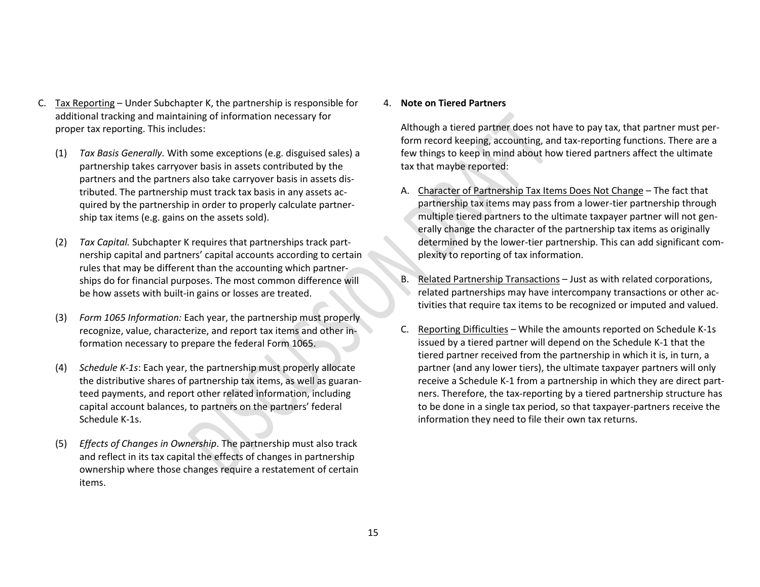- C. Tax Reporting Under Subchapter K, the partnership is responsible for additional tracking and maintaining of information necessary for proper tax reporting. This includes:
	- (1) *Tax Basis Generally.* With some exceptions (e.g. disguised sales) a partnership takes carryover basis in assets contributed by the partners and the partners also take carryover basis in assets distributed. The partnership must track tax basis in any assets acquired by the partnership in order to properly calculate partnership tax items (e.g. gains on the assets sold).
	- (2) *Tax Capital.* Subchapter K requires that partnerships track partnership capital and partners' capital accounts according to certain rules that may be different than the accounting which partnerships do for financial purposes. The most common difference will be how assets with built-in gains or losses are treated.
	- (3) *Form 1065 Information:* Each year, the partnership must properly recognize, value, characterize, and report tax items and other information necessary to prepare the federal Form 1065.
	- (4) *Schedule K-1s*: Each year, the partnership must properly allocate the distributive shares of partnership tax items, as well as guaranteed payments, and report other related information, including capital account balances, to partners on the partners' federal Schedule K-1s.
	- (5) *Effects of Changes in Ownership*. The partnership must also track and reflect in its tax capital the effects of changes in partnership ownership where those changes require a restatement of certain items.

#### 4. **Note on Tiered Partners**

Although a tiered partner does not have to pay tax, that partner must perform record keeping, accounting, and tax-reporting functions. There are a few things to keep in mind about how tiered partners affect the ultimate tax that maybe reported:

- A. Character of Partnership Tax Items Does Not Change The fact that partnership tax items may pass from a lower-tier partnership through multiple tiered partners to the ultimate taxpayer partner will not generally change the character of the partnership tax items as originally determined by the lower-tier partnership. This can add significant complexity to reporting of tax information.
- B. Related Partnership Transactions Just as with related corporations, related partnerships may have intercompany transactions or other activities that require tax items to be recognized or imputed and valued.
- C. Reporting Difficulties While the amounts reported on Schedule K-1s issued by a tiered partner will depend on the Schedule K-1 that the tiered partner received from the partnership in which it is, in turn, a partner (and any lower tiers), the ultimate taxpayer partners will only receive a Schedule K-1 from a partnership in which they are direct partners. Therefore, the tax-reporting by a tiered partnership structure has to be done in a single tax period, so that taxpayer-partners receive the information they need to file their own tax returns.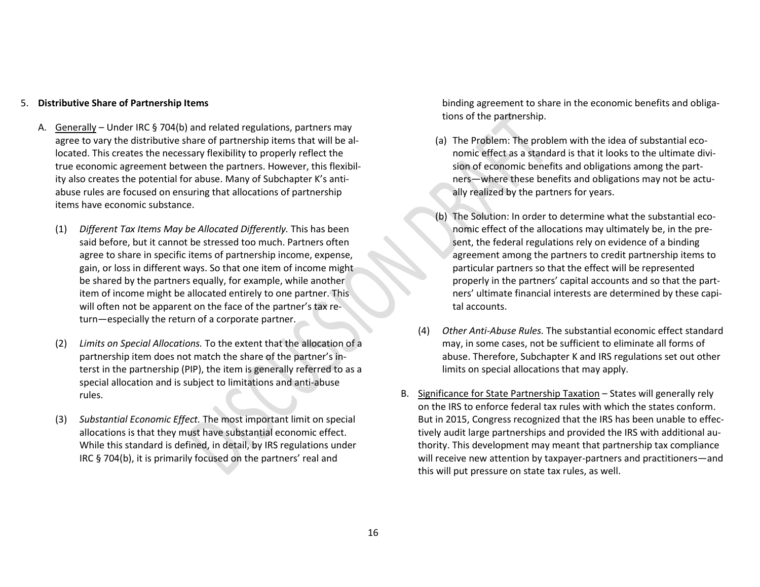#### 5. **Distributive Share of Partnership Items**

- A. Generally Under IRC § 704(b) and related regulations, partners may agree to vary the distributive share of partnership items that will be allocated. This creates the necessary flexibility to properly reflect the true economic agreement between the partners. However, this flexibility also creates the potential for abuse. Many of Subchapter K's antiabuse rules are focused on ensuring that allocations of partnership items have economic substance.
	- (1) *Different Tax Items May be Allocated Differently.* This has been said before, but it cannot be stressed too much. Partners often agree to share in specific items of partnership income, expense, gain, or loss in different ways. So that one item of income might be shared by the partners equally, for example, while another item of income might be allocated entirely to one partner. This will often not be apparent on the face of the partner's tax return—especially the return of a corporate partner.
	- (2) *Limits on Special Allocations.* To the extent that the allocation of a partnership item does not match the share of the partner's interst in the partnership (PIP), the item is generally referred to as a special allocation and is subject to limitations and anti-abuse rules.
	- (3) *Substantial Economic Effect.* The most important limit on special allocations is that they must have substantial economic effect. While this standard is defined, in detail, by IRS regulations under IRC § 704(b), it is primarily focused on the partners' real and

binding agreement to share in the economic benefits and obligations of the partnership.

- (a) The Problem: The problem with the idea of substantial economic effect as a standard is that it looks to the ultimate division of economic benefits and obligations among the partners—where these benefits and obligations may not be actually realized by the partners for years.
- (b) The Solution: In order to determine what the substantial economic effect of the allocations may ultimately be, in the present, the federal regulations rely on evidence of a binding agreement among the partners to credit partnership items to particular partners so that the effect will be represented properly in the partners' capital accounts and so that the partners' ultimate financial interests are determined by these capital accounts.
- (4) *Other Anti-Abuse Rules.* The substantial economic effect standard may, in some cases, not be sufficient to eliminate all forms of abuse. Therefore, Subchapter K and IRS regulations set out other limits on special allocations that may apply.
- B. Significance for State Partnership Taxation States will generally rely on the IRS to enforce federal tax rules with which the states conform. But in 2015, Congress recognized that the IRS has been unable to effectively audit large partnerships and provided the IRS with additional authority. This development may meant that partnership tax compliance will receive new attention by taxpayer-partners and practitioners—and this will put pressure on state tax rules, as well.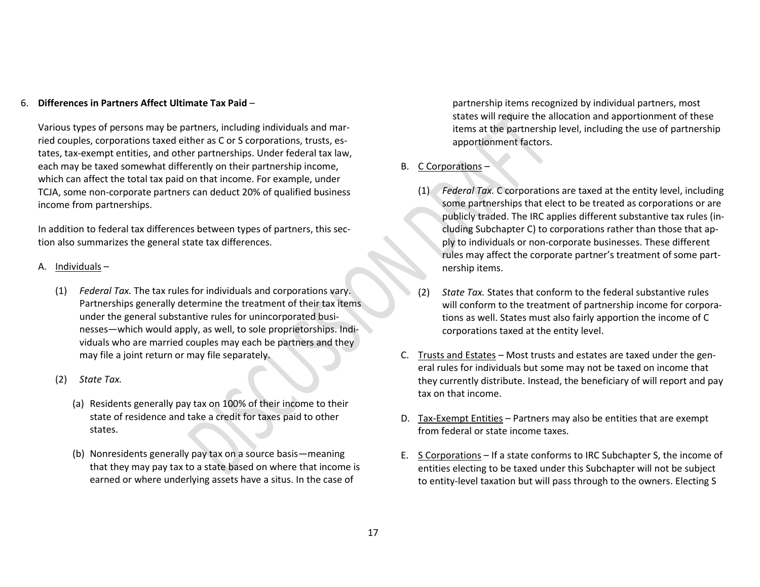#### 6. **Differences in Partners Affect Ultimate Tax Paid** –

Various types of persons may be partners, including individuals and married couples, corporations taxed either as C or S corporations, trusts, estates, tax-exempt entities, and other partnerships. Under federal tax law, each may be taxed somewhat differently on their partnership income, which can affect the total tax paid on that income. For example, under TCJA, some non-corporate partners can deduct 20% of qualified business income from partnerships.

In addition to federal tax differences between types of partners, this section also summarizes the general state tax differences.

- A. Individuals
	- (1) *Federal Tax.* The tax rules for individuals and corporations vary. Partnerships generally determine the treatment of their tax items under the general substantive rules for unincorporated businesses—which would apply, as well, to sole proprietorships. Individuals who are married couples may each be partners and they may file a joint return or may file separately.
	- (2) *State Tax.*
		- (a) Residents generally pay tax on 100% of their income to their state of residence and take a credit for taxes paid to other states.
		- (b) Nonresidents generally pay tax on a source basis—meaning that they may pay tax to a state based on where that income is earned or where underlying assets have a situs. In the case of

partnership items recognized by individual partners, most states will require the allocation and apportionment of these items at the partnership level, including the use of partnership apportionment factors.

## B. C Corporations –

- (1) *Federal Tax.* C corporations are taxed at the entity level, including some partnerships that elect to be treated as corporations or are publicly traded. The IRC applies different substantive tax rules (including Subchapter C) to corporations rather than those that apply to individuals or non-corporate businesses. These different rules may affect the corporate partner's treatment of some partnership items.
- (2) *State Tax.* States that conform to the federal substantive rules will conform to the treatment of partnership income for corporations as well. States must also fairly apportion the income of C corporations taxed at the entity level.
- C. Trusts and Estates Most trusts and estates are taxed under the general rules for individuals but some may not be taxed on income that they currently distribute. Instead, the beneficiary of will report and pay tax on that income.
- D. Tax-Exempt Entities Partners may also be entities that are exempt from federal or state income taxes.
- E. S Corporations If a state conforms to IRC Subchapter S, the income of entities electing to be taxed under this Subchapter will not be subject to entity-level taxation but will pass through to the owners. Electing S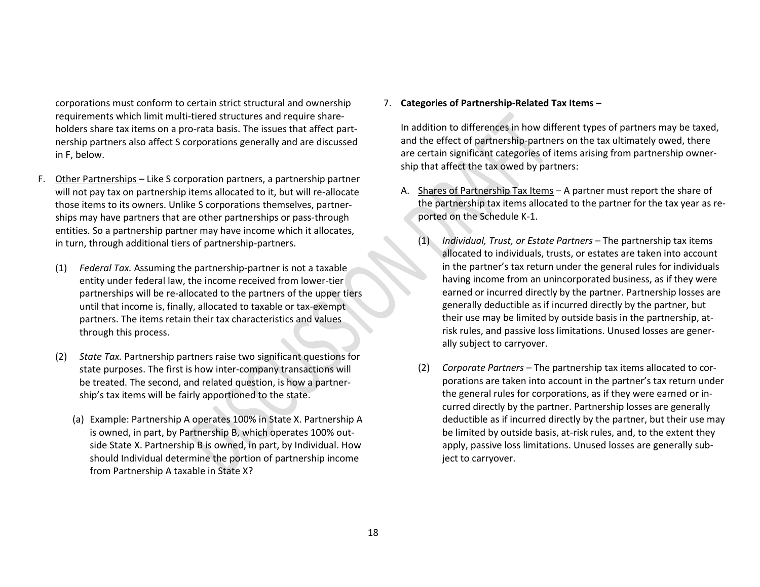corporations must conform to certain strict structural and ownership requirements which limit multi-tiered structures and require shareholders share tax items on a pro-rata basis. The issues that affect partnership partners also affect S corporations generally and are discussed in F, below.

- F. Other Partnerships Like S corporation partners, a partnership partner will not pay tax on partnership items allocated to it, but will re-allocate those items to its owners. Unlike S corporations themselves, partnerships may have partners that are other partnerships or pass-through entities. So a partnership partner may have income which it allocates, in turn, through additional tiers of partnership-partners.
	- (1) *Federal Tax.* Assuming the partnership-partner is not a taxable entity under federal law, the income received from lower-tier partnerships will be re-allocated to the partners of the upper tiers until that income is, finally, allocated to taxable or tax-exempt partners. The items retain their tax characteristics and values through this process.
	- (2) *State Tax.* Partnership partners raise two significant questions for state purposes. The first is how inter-company transactions will be treated. The second, and related question, is how a partnership's tax items will be fairly apportioned to the state.
		- (a) Example: Partnership A operates 100% in State X. Partnership A is owned, in part, by Partnership B, which operates 100% outside State X. Partnership B is owned, in part, by Individual. How should Individual determine the portion of partnership income from Partnership A taxable in State X?

7. **Categories of Partnership-Related Tax Items –**

In addition to differences in how different types of partners may be taxed, and the effect of partnership-partners on the tax ultimately owed, there are certain significant categories of items arising from partnership ownership that affect the tax owed by partners:

- A. Shares of Partnership Tax Items A partner must report the share of the partnership tax items allocated to the partner for the tax year as reported on the Schedule K-1.
	- (1) *Individual, Trust, or Estate Partners –* The partnership tax items allocated to individuals, trusts, or estates are taken into account in the partner's tax return under the general rules for individuals having income from an unincorporated business, as if they were earned or incurred directly by the partner. Partnership losses are generally deductible as if incurred directly by the partner, but their use may be limited by outside basis in the partnership, atrisk rules, and passive loss limitations. Unused losses are generally subject to carryover.
	- (2) *Corporate Partners* The partnership tax items allocated to corporations are taken into account in the partner's tax return under the general rules for corporations, as if they were earned or incurred directly by the partner. Partnership losses are generally deductible as if incurred directly by the partner, but their use may be limited by outside basis, at-risk rules, and, to the extent they apply, passive loss limitations. Unused losses are generally subject to carryover.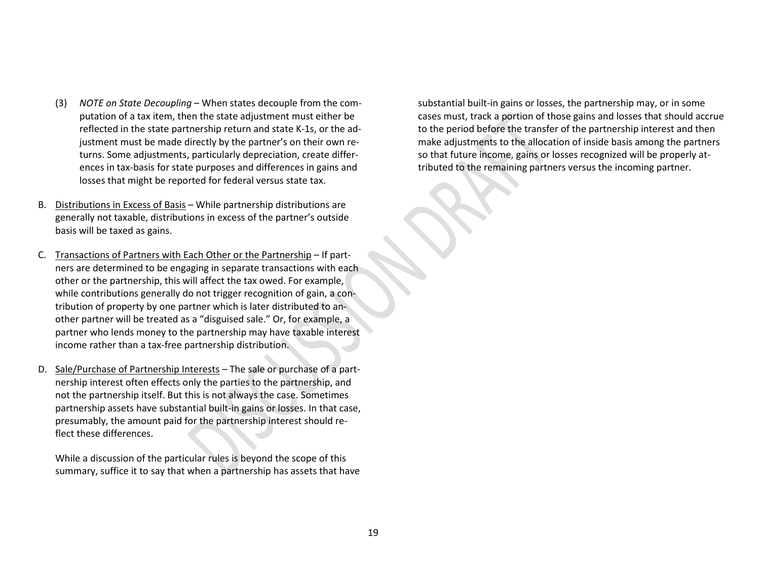- (3) *NOTE on State Decoupling* When states decouple from the computation of a tax item, then the state adjustment must either be reflected in the state partnership return and state K-1s, or the adjustment must be made directly by the partner's on their own returns. Some adjustments, particularly depreciation, create differences in tax-basis for state purposes and differences in gains and losses that might be reported for federal versus state tax.
- B. Distributions in Excess of Basis While partnership distributions are generally not taxable, distributions in excess of the partner's outside basis will be taxed as gains.
- C. Transactions of Partners with Each Other or the Partnership If partners are determined to be engaging in separate transactions with each other or the partnership, this will affect the tax owed. For example, while contributions generally do not trigger recognition of gain, a contribution of property by one partner which is later distributed to another partner will be treated as a "disguised sale." Or, for example, a partner who lends money to the partnership may have taxable interest income rather than a tax-free partnership distribution.
- D. Sale/Purchase of Partnership Interests The sale or purchase of a partnership interest often effects only the parties to the partnership, and not the partnership itself. But this is not always the case. Sometimes partnership assets have substantial built-in gains or losses. In that case, presumably, the amount paid for the partnership interest should reflect these differences.

While a discussion of the particular rules is beyond the scope of this summary, suffice it to say that when a partnership has assets that have substantial built-in gains or losses, the partnership may, or in some cases must, track a portion of those gains and losses that should accrue to the period before the transfer of the partnership interest and then make adjustments to the allocation of inside basis among the partners so that future income, gains or losses recognized will be properly attributed to the remaining partners versus the incoming partner.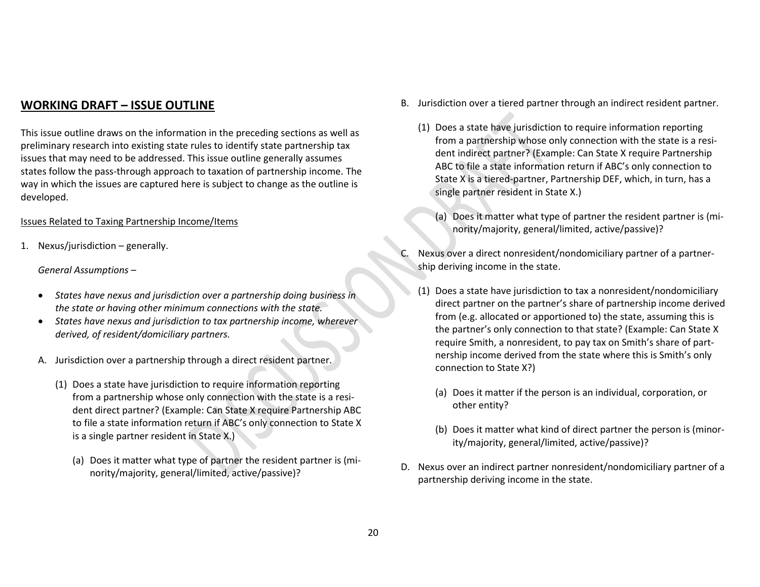# **WORKING DRAFT – ISSUE OUTLINE**

This issue outline draws on the information in the preceding sections as well as preliminary research into existing state rules to identify state partnership tax issues that may need to be addressed. This issue outline generally assumes states follow the pass-through approach to taxation of partnership income. The way in which the issues are captured here is subject to change as the outline is developed.

#### Issues Related to Taxing Partnership Income/Items

1. Nexus/jurisdiction – generally.

*General Assumptions –*

- *States have nexus and jurisdiction over a partnership doing business in the state or having other minimum connections with the state.*
- *States have nexus and jurisdiction to tax partnership income, wherever derived, of resident/domiciliary partners.*
- A. Jurisdiction over a partnership through a direct resident partner.
	- (1) Does a state have jurisdiction to require information reporting from a partnership whose only connection with the state is a resident direct partner? (Example: Can State X require Partnership ABC to file a state information return if ABC's only connection to State X is a single partner resident in State X.)
		- (a) Does it matter what type of partner the resident partner is (minority/majority, general/limited, active/passive)?
- B. Jurisdiction over a tiered partner through an indirect resident partner.
	- (1) Does a state have jurisdiction to require information reporting from a partnership whose only connection with the state is a resident indirect partner? (Example: Can State X require Partnership ABC to file a state information return if ABC's only connection to State X is a tiered-partner, Partnership DEF, which, in turn, has a single partner resident in State X.)
		- (a) Does it matter what type of partner the resident partner is (minority/majority, general/limited, active/passive)?
- Nexus over a direct nonresident/nondomiciliary partner of a partnership deriving income in the state.
	- (1) Does a state have jurisdiction to tax a nonresident/nondomiciliary direct partner on the partner's share of partnership income derived from (e.g. allocated or apportioned to) the state, assuming this is the partner's only connection to that state? (Example: Can State X require Smith, a nonresident, to pay tax on Smith's share of partnership income derived from the state where this is Smith's only connection to State X?)
		- (a) Does it matter if the person is an individual, corporation, or other entity?
		- (b) Does it matter what kind of direct partner the person is (minority/majority, general/limited, active/passive)?
- D. Nexus over an indirect partner nonresident/nondomiciliary partner of a partnership deriving income in the state.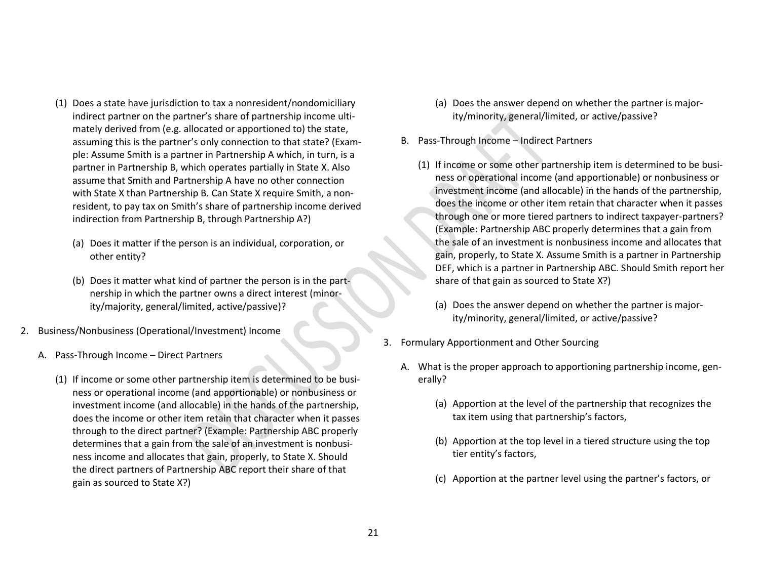- (1) Does a state have jurisdiction to tax a nonresident/nondomiciliary indirect partner on the partner's share of partnership income ultimately derived from (e.g. allocated or apportioned to) the state, assuming this is the partner's only connection to that state? (Example: Assume Smith is a partner in Partnership A which, in turn, is a partner in Partnership B, which operates partially in State X. Also assume that Smith and Partnership A have no other connection with State X than Partnership B. Can State X require Smith, a nonresident, to pay tax on Smith's share of partnership income derived indirection from Partnership B, through Partnership A?)
	- (a) Does it matter if the person is an individual, corporation, or other entity?
	- (b) Does it matter what kind of partner the person is in the partnership in which the partner owns a direct interest (minority/majority, general/limited, active/passive)?
- 2. Business/Nonbusiness (Operational/Investment) Income
	- A. Pass-Through Income Direct Partners
		- (1) If income or some other partnership item is determined to be business or operational income (and apportionable) or nonbusiness or investment income (and allocable) in the hands of the partnership, does the income or other item retain that character when it passes through to the direct partner? (Example: Partnership ABC properly determines that a gain from the sale of an investment is nonbusiness income and allocates that gain, properly, to State X. Should the direct partners of Partnership ABC report their share of that gain as sourced to State X?)
- (a) Does the answer depend on whether the partner is majority/minority, general/limited, or active/passive?
- B. Pass-Through Income Indirect Partners
	- (1) If income or some other partnership item is determined to be business or operational income (and apportionable) or nonbusiness or investment income (and allocable) in the hands of the partnership, does the income or other item retain that character when it passes through one or more tiered partners to indirect taxpayer-partners? (Example: Partnership ABC properly determines that a gain from the sale of an investment is nonbusiness income and allocates that gain, properly, to State X. Assume Smith is a partner in Partnership DEF, which is a partner in Partnership ABC. Should Smith report her share of that gain as sourced to State X?)
		- (a) Does the answer depend on whether the partner is majority/minority, general/limited, or active/passive?
- 3. Formulary Apportionment and Other Sourcing
	- A. What is the proper approach to apportioning partnership income, generally?
		- (a) Apportion at the level of the partnership that recognizes the tax item using that partnership's factors,
		- (b) Apportion at the top level in a tiered structure using the top tier entity's factors,
		- (c) Apportion at the partner level using the partner's factors, or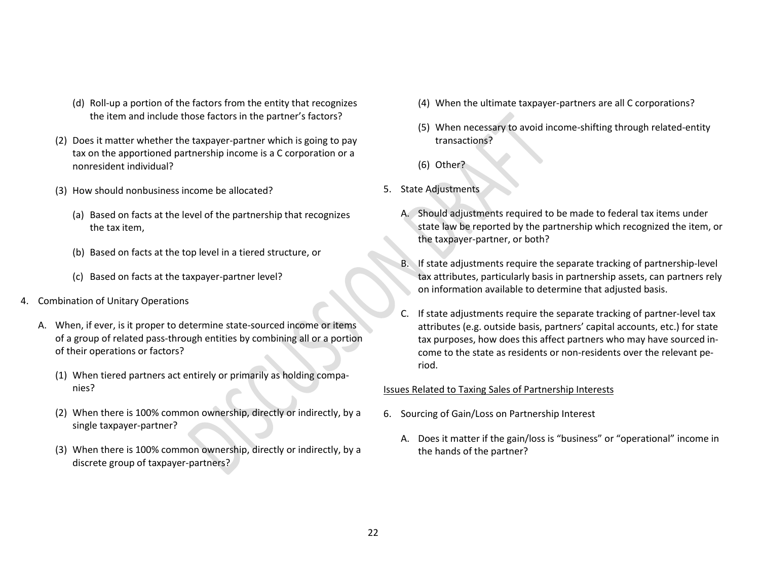- (d) Roll-up a portion of the factors from the entity that recognizes the item and include those factors in the partner's factors?
- (2) Does it matter whether the taxpayer-partner which is going to pay tax on the apportioned partnership income is a C corporation or a nonresident individual?
- (3) How should nonbusiness income be allocated?
	- (a) Based on facts at the level of the partnership that recognizes the tax item,
	- (b) Based on facts at the top level in a tiered structure, or
	- (c) Based on facts at the taxpayer-partner level?
- 4. Combination of Unitary Operations
	- A. When, if ever, is it proper to determine state-sourced income or items of a group of related pass-through entities by combining all or a portion of their operations or factors?
		- (1) When tiered partners act entirely or primarily as holding companies?
		- (2) When there is 100% common ownership, directly or indirectly, by a single taxpayer-partner?
		- (3) When there is 100% common ownership, directly or indirectly, by a discrete group of taxpayer-partners?
- (4) When the ultimate taxpayer-partners are all C corporations?
- (5) When necessary to avoid income-shifting through related-entity transactions?
- (6) Other?
- 5. State Adjustments
	- A. Should adjustments required to be made to federal tax items under state law be reported by the partnership which recognized the item, or the taxpayer-partner, or both?
	- If state adjustments require the separate tracking of partnership-level tax attributes, particularly basis in partnership assets, can partners rely on information available to determine that adjusted basis.
	- C. If state adjustments require the separate tracking of partner-level tax attributes (e.g. outside basis, partners' capital accounts, etc.) for state tax purposes, how does this affect partners who may have sourced income to the state as residents or non-residents over the relevant period.

#### Issues Related to Taxing Sales of Partnership Interests

- 6. Sourcing of Gain/Loss on Partnership Interest
	- A. Does it matter if the gain/loss is "business" or "operational" income in the hands of the partner?